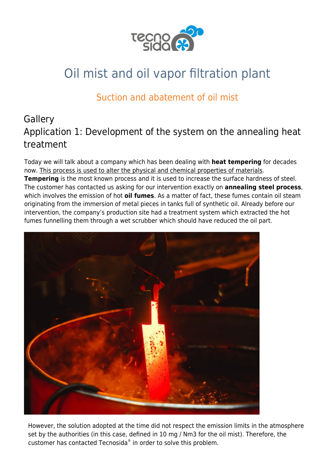

# Oil mist and oil vapor filtration plant

# Suction and abatement of oil mist

# **Gallery** Application 1: Development of the system on the annealing heat treatment

Today we will talk about a company which has been dealing with **heat tempering** for decades now. This process is used to alter the physical and chemical properties of materials. **[Tempering](https://en.wikipedia.org/wiki/Tempering_(metallurgy))** is the most known process and it is used to increase the surface hardness of steel. The customer has contacted us asking for our intervention exactly on **annealing steel process**, which involves the emission of hot **[oil fumes](https://www.tecnosida.com/oil-mist-properties-behaviour-and-filtration-technology)**. As a matter of fact, these fumes contain oil steam originating from the immersion of metal pieces in tanks full of synthetic oil. Already before our intervention, the company's production site had a treatment system which extracted the hot fumes funnelling them through a wet scrubber which should have reduced the oil part.



However, the solution adopted at the time did not respect the emission limits in the atmosphere set by the authorities (in this case, defined in 10 mg / Nm3 for the oil mist). Therefore, the customer has contacted [Tecnosida](https://www.tecnosida.com/)® in order to solve this problem.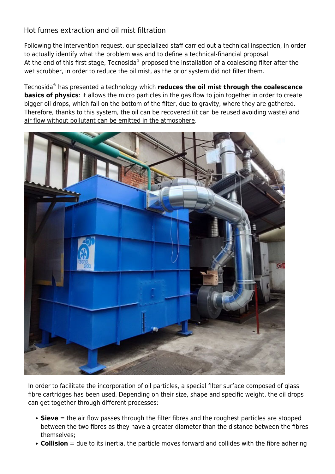#### Hot fumes extraction and oil mist filtration

Following the intervention request, our specialized staff carried out a [technical inspection](https://www.tecnosida.com/services-and-consulting-for-the-environment), in order to actually identify what the problem was and to define a technical-financial proposal. At the end of this first stage, [Tecnosida](https://www.tecnosida.com/about-us)® proposed the installation of a [coalescing filter](https://www.tecnosida.com/oil-mist-removal-filter) after the wet scrubber, in order to reduce the [oil mist](https://www.tecnosida.com/oil-mist-properties-behaviour-and-filtration-technology), as the prior system did not filter them.

Tecnosida® has presented a technology which **reduces the oil mist through the coalescence basics of physics**: it allows the micro particles in the gas flow to join together in order to create bigger oil drops, which fall on the bottom of the filter, due to gravity, where they are gathered. Therefore, thanks to this system, the oil can be recovered (it can be reused avoiding waste) and air flow without pollutant can be emitted in the atmosphere.



In order to facilitate the incorporation of oil particles, a special filter surface composed of glass fibre cartridges has been used. Depending on their size, shape and specific weight, the oil drops can get together through different processes:

- **Sieve** = the air flow passes through the filter fibres and the roughest particles are stopped between the two fibres as they have a greater diameter than the distance between the fibres themselves;
- **Collision** = due to its inertia, the particle moves forward and collides with the fibre adhering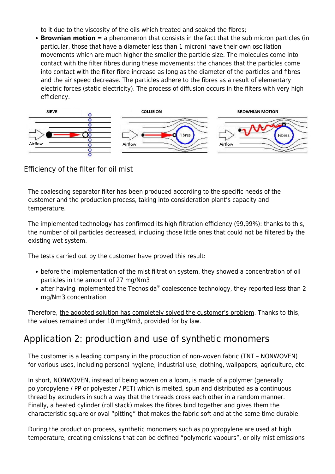to it due to the viscosity of the oils which treated and soaked the fibres;

**Brownian motion** = a phenomenon that consists in the fact that the sub micron particles (in particular, those that have a diameter less than 1 micron) have their own oscillation movements which are much higher the smaller the particle size. The molecules come into contact with the filter fibres during these movements: the chances that the particles come into contact with the filter fibre increase as long as the diameter of the particles and fibres and the air speed decrease. The particles adhere to the fibres as a result of elementary electric forces (static electricity). The process of diffusion occurs in the filters with very high efficiency.



#### Efficiency of the filter for oil mist

The coalescing separator filter has been produced according to the specific needs of the customer and the production process, taking into consideration plant's capacity and temperature.

The implemented technology has confirmed its high filtration efficiency (99,99%): thanks to this, the number of oil particles decreased, including those little ones that could not be filtered by the existing wet system.

The tests carried out by the customer have proved this result:

- before the implementation of the mist filtration system, they showed a concentration of oil particles in the amount of 27 mg/Nm3
- after having implemented the Tecnosida® coalescence technology, they reported less than 2 mg/Nm3 concentration

Therefore, the adopted solution has completely solved the customer's problem. Thanks to this, the values remained under 10 mg/Nm3, provided for by law.

### Application 2: production and use of synthetic monomers

The customer is a leading company in the production of non-woven fabric (TNT – NONWOVEN) for various uses, including personal hygiene, industrial use, clothing, wallpapers, agriculture, etc.

In short, NONWOVEN, instead of being woven on a loom, is made of a [polymer](https://www.tecnosida.com/air-pollution-in-rubber-plastic-thermosets-industrial-production) (generally polypropylene / PP or polyester / PET) which is melted, spun and distributed as a continuous thread by extruders in such a way that the threads cross each other in a random manner. Finally, a heated cylinder (roll stack) makes the fibres bind together and gives them the characteristic square or oval "pitting" that makes the fabric soft and at the same time durable.

During the production process, synthetic monomers such as [polypropylene](https://www.tecnosida.com/air-pollution-in-rubber-plastic-thermosets-industrial-production) are used at high temperature, creating emissions that can be defined ["polymeric vapours](https://www.tecnosida.com/air-pollution-in-rubber-plastic-thermosets-industrial-production)", or [oily mist](https://www.tecnosida.com/oil-mist-properties-behaviour-and-filtration-technology) emissions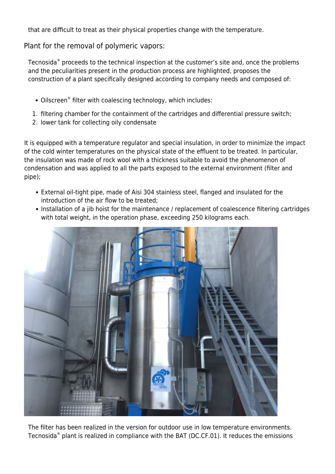that are difficult to treat as their physical properties change with the temperature.

Plant for the removal of polymeric vapors:

[Tecnosida](http://www.tecnosida.com/1406/pollution-prevention-technologies-for-air-pollution-control)<sup>®</sup> proceeds to the [technical inspection](https://www.tecnosida.com/services-and-consulting-for-the-environment) at the customer's site and, once the problems and the peculiarities present in the production process are highlighted, proposes the construction of a plant specifically designed according to company needs and composed of:

- [Oilscreen](http://www.tecnosida.com/309/Oilscreen_filter_oil_mist_tar_emulsion)® filter with [coalescing technology](http://www.tecnosida.com/5166/oil-mist-control-and-abatement), which includes:
- 1. filtering chamber for the containment of the cartridges and differential pressure switch;
- 2. lower tank for collecting oily condensate

It is equipped with a temperature regulator and special insulation, in order to minimize the impact of the cold winter temperatures on the physical state of the effluent to be treated. In particular, the insulation was made of rock wool with a thickness suitable to avoid the phenomenon of condensation and was applied to all the parts exposed to the external environment (filter and pipe);

- External oil-tight pipe, made of Aisi 304 stainless steel, flanged and insulated for the introduction of the air flow to be treated;
- Installation of a jib hoist for the [maintenance](https://www.tecnosida.com/services-and-consulting-for-the-environment) / replacement of [coalescence filtering cartridges](http://www.tecnosida.com/309/Oilscreen_filter_oil_mist_tar_emulsion) with total weight, in the operation phase, exceeding 250 kilograms each.



The filter has been realized in the version for outdoor use in low temperature environments. [Tecnosida](https://www.tecnosida.com/1406/about-us)® plant is realized in compliance with the BAT (DC.CF.01). It reduces the emissions